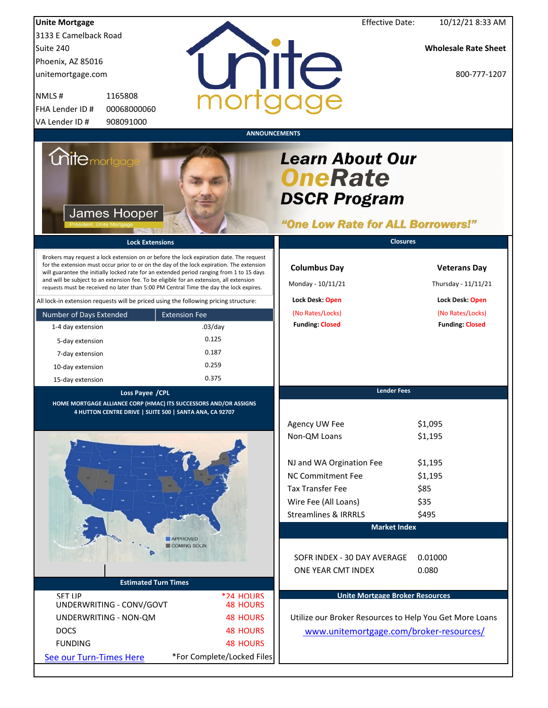| <b>Unite Mortgage</b><br>3133 E Camelback Road<br>Suite 240                                                                                                                                                                                                                                                                                                                 |                                    | <b>Effective Date:</b>                                                                               | 10/12/21 8:33 AM<br><b>Wholesale Rate Sheet</b> |
|-----------------------------------------------------------------------------------------------------------------------------------------------------------------------------------------------------------------------------------------------------------------------------------------------------------------------------------------------------------------------------|------------------------------------|------------------------------------------------------------------------------------------------------|-------------------------------------------------|
| Phoenix, AZ 85016<br>unitemortgage.com                                                                                                                                                                                                                                                                                                                                      | nite                               |                                                                                                      | 800-777-1207                                    |
| 1165808<br>NMLS#<br>FHA Lender ID #<br>00068000060<br>VA Lender ID#<br>908091000                                                                                                                                                                                                                                                                                            | <b>ANNOUNCEMENTS</b>               |                                                                                                      |                                                 |
| <i><b>Unitemortgag</b></i><br>James Hooper                                                                                                                                                                                                                                                                                                                                  |                                    | <b>Learn About Our</b><br><b>OneRate</b><br><b>DSCR Program</b><br>"One Low Rate for ALL Borrowers!" |                                                 |
| <b>Lock Extensions</b><br>Brokers may request a lock extension on or before the lock expiration date. The request                                                                                                                                                                                                                                                           |                                    | <b>Closures</b>                                                                                      |                                                 |
| for the extension must occur prior to or on the day of the lock expiration. The extension<br>will guarantee the initially locked rate for an extended period ranging from 1 to 15 days<br>and will be subject to an extension fee. To be eligible for an extension, all extension<br>requests must be received no later than 5:00 PM Central Time the day the lock expires. |                                    | <b>Columbus Day</b><br>Monday - 10/11/21                                                             | <b>Veterans Day</b><br>Thursday - 11/11/21      |
| All lock-in extension requests will be priced using the following pricing structure:                                                                                                                                                                                                                                                                                        |                                    | Lock Desk: Open<br>(No Rates/Locks)                                                                  | Lock Desk: Open<br>(No Rates/Locks)             |
| Number of Days Extended<br>1-4 day extension                                                                                                                                                                                                                                                                                                                                | <b>Extension Fee</b><br>$.03$ /day | <b>Funding: Closed</b>                                                                               | <b>Funding: Closed</b>                          |
| 5-day extension                                                                                                                                                                                                                                                                                                                                                             | 0.125                              |                                                                                                      |                                                 |
| 7-day extension                                                                                                                                                                                                                                                                                                                                                             | 0.187                              |                                                                                                      |                                                 |
| 10-day extension                                                                                                                                                                                                                                                                                                                                                            | 0.259                              |                                                                                                      |                                                 |
| 15-day extension                                                                                                                                                                                                                                                                                                                                                            | 0.375                              |                                                                                                      |                                                 |
| Loss Payee /CPL                                                                                                                                                                                                                                                                                                                                                             |                                    | <b>Lender Fees</b>                                                                                   |                                                 |
| HOME MORTGAGE ALLIANCE CORP (HMAC) ITS SUCCESSORS AND/OR ASSIGNS                                                                                                                                                                                                                                                                                                            |                                    |                                                                                                      |                                                 |
| 4 HUTTON CENTRE DRIVE   SUITE 500   SANTA ANA, CA 92707                                                                                                                                                                                                                                                                                                                     |                                    | Agency UW Fee<br>Non-QM Loans                                                                        | \$1,095<br>\$1,195                              |
|                                                                                                                                                                                                                                                                                                                                                                             |                                    | NJ and WA Orgination Fee                                                                             | \$1,195                                         |
|                                                                                                                                                                                                                                                                                                                                                                             |                                    | NC Commitment Fee                                                                                    | \$1,195                                         |
|                                                                                                                                                                                                                                                                                                                                                                             |                                    | <b>Tax Transfer Fee</b>                                                                              | \$85                                            |
|                                                                                                                                                                                                                                                                                                                                                                             |                                    | Wire Fee (All Loans)                                                                                 | \$35                                            |
|                                                                                                                                                                                                                                                                                                                                                                             |                                    | <b>Streamlines &amp; IRRRLS</b>                                                                      | \$495                                           |
|                                                                                                                                                                                                                                                                                                                                                                             |                                    | <b>Market Index</b>                                                                                  |                                                 |
|                                                                                                                                                                                                                                                                                                                                                                             | <b>APPROVED</b><br>COMING SOON     |                                                                                                      |                                                 |
| <b>Estimated Turn Times</b>                                                                                                                                                                                                                                                                                                                                                 |                                    | SOFR INDEX - 30 DAY AVERAGE<br>ONE YEAR CMT INDEX                                                    | 0.01000<br>0.080                                |
| <b>SFT LIP</b>                                                                                                                                                                                                                                                                                                                                                              | *24 HOLIRS                         | <b>Unite Mortgage Broker Resources</b>                                                               |                                                 |
| UNDERWRITING - CONV/GOVT<br>UNDERWRITING - NON-QM                                                                                                                                                                                                                                                                                                                           | <b>48 HOURS</b><br><b>48 HOURS</b> | Utilize our Broker Resources to Help You Get More Loans                                              |                                                 |
| <b>DOCS</b>                                                                                                                                                                                                                                                                                                                                                                 | <b>48 HOURS</b>                    |                                                                                                      |                                                 |
| <b>FUNDING</b>                                                                                                                                                                                                                                                                                                                                                              | <b>48 HOURS</b>                    | www.unitemortgage.com/broker-resources/                                                              |                                                 |
|                                                                                                                                                                                                                                                                                                                                                                             | *For Complete/Locked Files         |                                                                                                      |                                                 |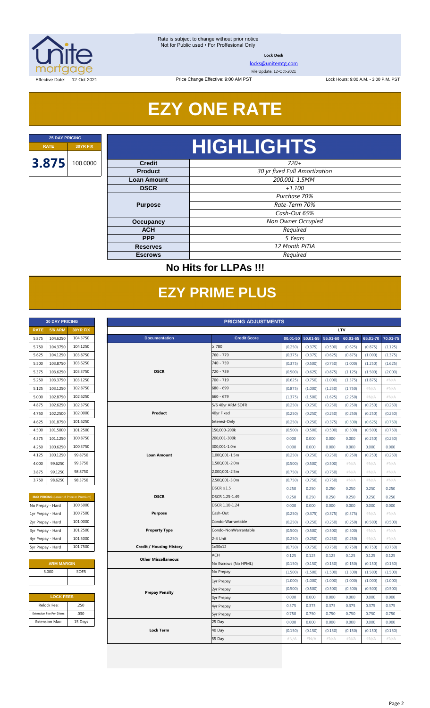

**Lock Desk**

[locks@unitemtg.com](mailto:locks@unitemtg.com)

File Update: 12-Oct-2021

Lock Hours: 9:00 A.M. - 3:00 P.M. PST

Effective Date: 12-Oct-2021

## **EZY ONE RATE**

Price Change Effective: 9:00 AM PST

# **RATE 30YR FIX HIGHLIGHTS**

| <b>Credit</b>      | $720+$                        |  |  |  |
|--------------------|-------------------------------|--|--|--|
| <b>Product</b>     | 30 yr fixed Full Amortization |  |  |  |
| <b>Loan Amount</b> | 200,001-1.5MM                 |  |  |  |
| <b>DSCR</b>        | $+1.100$                      |  |  |  |
|                    | Purchase 70%                  |  |  |  |
| <b>Purpose</b>     | Rate-Term 70%                 |  |  |  |
|                    | Cash-Out 65%                  |  |  |  |
| Occupancy          | Non Owner Occupied            |  |  |  |
| <b>ACH</b>         | Required                      |  |  |  |
| <b>PPP</b>         | 5 Years                       |  |  |  |
| <b>Reserves</b>    | 12 Month PITIA                |  |  |  |
| <b>Escrows</b>     | Required                      |  |  |  |

### **No Hits for LLPAs !!!**

## **EZY PRIME PLUS**

|             | <b>30 DAY PRICING</b> |                 |
|-------------|-----------------------|-----------------|
| <b>RATE</b> | <b>5/6 ARM</b>        | <b>30YR FIX</b> |
| 5.875       | 104.6250              | 104.3750        |
| 5.750       | 104.3750              | 104.1250        |
| 5.625       | 104.1250              | 103.8750        |
| 5.500       | 103.8750              | 103.6250        |
| 5.375       | 103.6250              | 103.3750        |
| 5.250       | 103.3750              | 103.1250        |
| 5.125       | 103.1250              | 102.8750        |
| 5.000       | 102.8750              | 102.6250        |
| 4.875       | 102.6250              | 102.3750        |
| 4.750       | 102.2500              | 102.0000        |
| 4.625       | 101.8750              | 101.6250        |
| 4.500       | 101.5000              | 101.2500        |
| 4.375       | 101.1250              | 100.8750        |
| 4.250       | 100.6250              | 100.3750        |
| 4.125       | 100.1250              | 99.8750         |
| 4.000       | 99.6250               | 99.3750         |
| 3.875       | 99.1250               | 98.8750         |
| 3.750       | 98.6250               | 98.3750         |

| <b>MAX PRICING</b> (Lower of Price or Premium) |          |
|------------------------------------------------|----------|
| No Prepay - Hard                               | 100.5000 |
| 1yr Prepay - Hard                              | 100.7500 |
| 2yr Prepay - Hard                              | 101.0000 |
| 3yr Prepay - Hard                              | 101.2500 |
| 4yr Prepay - Hard                              | 101.5000 |
| 5yr Prepay - Hard                              | 101.7500 |

| <b>ARM MARGIN</b> |             |  |  |  |  |  |  |  |
|-------------------|-------------|--|--|--|--|--|--|--|
| 5.000             | <b>SOFR</b> |  |  |  |  |  |  |  |
|                   |             |  |  |  |  |  |  |  |

| <b>LOCK FEES</b>        |         |  |  |  |  |  |  |  |
|-------------------------|---------|--|--|--|--|--|--|--|
| Relock Fee:             | .250    |  |  |  |  |  |  |  |
| Extension Fee Per Diem: | .030    |  |  |  |  |  |  |  |
| <b>Extension Max:</b>   | 15 Days |  |  |  |  |  |  |  |

| <b>RATE</b><br>5.875<br>5.750<br>5.625<br>5.500<br>5.375<br>5.250 | <b>5/6 ARM</b><br>104.6250<br>104.3750<br>104.1250<br>103.8750 | <b>30YR FIX</b><br>104.3750<br>104.1250        | <b>Documentation</b>            |                      |         |                   |          | <b>LTV</b> |          |          |
|-------------------------------------------------------------------|----------------------------------------------------------------|------------------------------------------------|---------------------------------|----------------------|---------|-------------------|----------|------------|----------|----------|
|                                                                   |                                                                |                                                |                                 |                      |         |                   |          |            |          |          |
|                                                                   |                                                                |                                                |                                 | <b>Credit Score</b>  |         | 00.01-50 50.01-55 | 55.01-60 | 60.01-65   | 65.01-70 | 70.01-75 |
|                                                                   |                                                                |                                                |                                 | $\geq 780$           | (0.250) | (0.375)           | (0.500)  | (0.625)    | (0.875)  | (1.125)  |
|                                                                   |                                                                | 103.8750                                       |                                 | 760 - 779            | (0.375) | (0.375)           | (0.625)  | (0.875)    | (1.000)  | (1.375)  |
|                                                                   |                                                                | 103.6250                                       |                                 | 740 - 759            | (0.375) | (0.500)           | (0.750)  | (1.000)    | (1.250)  | (1.625)  |
|                                                                   | 103.6250                                                       | 103.3750                                       | <b>DSCR</b>                     | 720 - 739            | (0.500) | (0.625)           | (0.875)  | (1.125)    | (1.500)  | (2.000)  |
|                                                                   | 103.3750                                                       | 103.1250                                       |                                 | 700 - 719            | (0.625) | (0.750)           | (1.000)  | (1.375)    | (1.875)  | #N/A     |
| 5.125                                                             | 103.1250                                                       | 102.8750                                       |                                 | 680 - 699            | (0.875) | (1.000)           | (1.250)  | (1.750)    | #N/A     | #N/A     |
| 5.000                                                             | 102.8750                                                       | 102.6250                                       |                                 | $660 - 679$          | (1.375) | (1.500)           | (1.625)  | (2.250)    | #N/A     | #N/A     |
| 4.875                                                             | 102.6250                                                       | 102.3750                                       |                                 | 5/6 40yr ARM SOFR    | (0.250) | (0.250)           | (0.250)  | (0.250)    | (0.250)  | (0.250)  |
| 4.750                                                             | 102.2500                                                       | 102.0000                                       | Product                         | 40yr Fixed           | (0.250) | (0.250)           | (0.250)  | (0.250)    | (0.250)  | (0.250)  |
| 4.625                                                             | 101.8750                                                       | 101.6250                                       |                                 | Interest-Only        | (0.250) | (0.250)           | (0.375)  | (0.500)    | (0.625)  | (0.750)  |
| 4.500                                                             | 101.5000                                                       | 101.2500                                       |                                 | 150,000-200k         | (0.500) | (0.500)           | (0.500)  | (0.500)    | (0.500)  | (0.750)  |
| 4.375                                                             | 101.1250                                                       | 100.8750                                       |                                 | 200,001-300k         | 0.000   | 0.000             | 0.000    | 0.000      | (0.250)  | (0.250)  |
| 4.250                                                             | 100.6250                                                       | 100.3750                                       |                                 | 300,001-1.0m         | 0.000   | 0.000             | 0.000    | 0.000      | 0.000    | 0.000    |
| 4.125                                                             | 100.1250                                                       | 99.8750                                        | <b>Loan Amount</b>              | 1,000,001-1.5m       | (0.250) | (0.250)           | (0.250)  | (0.250)    | (0.250)  | (0.250)  |
| 4.000                                                             | 99.6250                                                        | 99.3750                                        |                                 | 1,500,001-2.0m       | (0.500) | (0.500)           | (0.500)  | $\#N/A$    | #N/A     | #N/A     |
| 3.875                                                             | 99.1250                                                        | 98.8750                                        |                                 | 2,000,001-2.5m       | (0.750) | (0.750)           | (0.750)  | $\#N/A$    | $\#N/A$  | $\#N/A$  |
| 3.750                                                             | 98.6250                                                        | 98.3750                                        |                                 | 2,500,001-3.0m       | (0.750) | (0.750)           | (0.750)  | $\#N/A$    | #N/A     | #N/A     |
|                                                                   |                                                                |                                                |                                 | $DSCR \geq 1.5$      | 0.250   | 0.250             | 0.250    | 0.250      | 0.250    | 0.250    |
|                                                                   |                                                                | <b>MAX PRICING (Lower of Price or Premium)</b> | <b>DSCR</b>                     | DSCR 1.25-1.49       | 0.250   | 0.250             | 0.250    | 0.250      | 0.250    | 0.250    |
| No Prepay - Hard                                                  |                                                                | 100.5000                                       |                                 | DSCR 1.10-1.24       | 0.000   | 0.000             | 0.000    | 0.000      | 0.000    | 0.000    |
| 1yr Prepay - Hard                                                 |                                                                | 100.7500                                       | <b>Purpose</b>                  | Cash-Out             | (0.250) | (0.375)           | (0.375)  | (0.375)    | $\#N/A$  | #N/A     |
| 2yr Prepay - Hard                                                 |                                                                | 101.0000                                       |                                 | Condo-Warrantable    | (0.250) | (0.250)           | (0.250)  | (0.250)    | (0.500)  | (0.500)  |
| 3yr Prepay - Hard                                                 |                                                                | 101.2500                                       | <b>Property Type</b>            | Condo-NonWarrantable | (0.500) | (0.500)           | (0.500)  | (0.500)    | #N/A     | #N/A     |
| 4yr Prepay - Hard                                                 |                                                                | 101.5000                                       |                                 | 2-4 Unit             | (0.250) | (0.250)           | (0.250)  | (0.250)    | $\#N/A$  | #N/A     |
| 5yr Prepay - Hard                                                 |                                                                | 101.7500                                       | <b>Credit / Housing History</b> | 1x30x12              | (0.750) | (0.750)           | (0.750)  | (0.750)    | (0.750)  | (0.750)  |
|                                                                   |                                                                |                                                | <b>Other Miscellaneous</b>      | <b>ACH</b>           | 0.125   | 0.125             | 0.125    | 0.125      | 0.125    | 0.125    |
|                                                                   | <b>ARM MARGIN</b>                                              |                                                |                                 | No Escrows (No HPML) | (0.150) | (0.150)           | (0.150)  | (0.150)    | (0.150)  | (0.150)  |
| 5.000                                                             |                                                                | SOFR                                           |                                 | No Prepay            | (1.500) | (1.500)           | (1.500)  | (1.500)    | (1.500)  | (1.500)  |
|                                                                   |                                                                |                                                |                                 | 1yr Prepay           | (1.000) | (1.000)           | (1.000)  | (1.000)    | (1.000)  | (1.000)  |
|                                                                   |                                                                |                                                | <b>Prepay Penalty</b>           | 2yr Prepay           | (0.500) | (0.500)           | (0.500)  | (0.500)    | (0.500)  | (0.500)  |
|                                                                   | <b>LOCK FEES</b>                                               |                                                |                                 | <b>3yr Prepay</b>    | 0.000   | 0.000             | 0.000    | 0.000      | 0.000    | 0.000    |
| Relock Fee:                                                       |                                                                | .250                                           |                                 | 4yr Prepay           | 0.375   | 0.375             | 0.375    | 0.375      | 0.375    | 0.375    |
| Extension Fee Per Diem:                                           |                                                                | .030                                           |                                 | <b>5yr Prepay</b>    | 0.750   | 0.750             | 0.750    | 0.750      | 0.750    | 0.750    |
| <b>Extension Max:</b>                                             |                                                                | 15 Days                                        |                                 | 25 Day               | 0.000   | 0.000             | 0.000    | 0.000      | 0.000    | 0.000    |
|                                                                   |                                                                |                                                | <b>Lock Term</b>                | 40 Day               | (0.150) | (0.150)           | (0.150)  | (0.150)    | (0.150)  | (0.150)  |
|                                                                   |                                                                |                                                |                                 | 55 Day               | #N/A    | $\#N/A$           | #N/A     | $\#N/A$    | #N/A     | $\#N/A$  |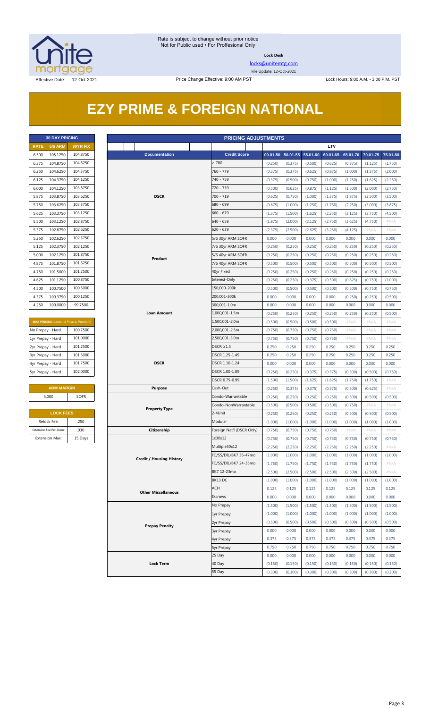

**Lock Desk**

[locks@unitemtg.com](mailto:locks@unitemtg.com) File Update: 12-Oct-2021

## **EZY PRIME & FOREIGN NATIONAL**

| <b>30 DAY PRICING</b> |                |                 |  |  |  |  |  |  |  |  |
|-----------------------|----------------|-----------------|--|--|--|--|--|--|--|--|
| <b>RATE</b>           | <b>5/6 ARM</b> | <b>30YR FIX</b> |  |  |  |  |  |  |  |  |
| 6.500                 | 105.1250       | 104.8750        |  |  |  |  |  |  |  |  |
| 6.375                 | 104.8750       | 104.6250        |  |  |  |  |  |  |  |  |
| 6.250                 | 104.6250       | 104.3750        |  |  |  |  |  |  |  |  |
| 6.125                 | 104.3750       | 104.1250        |  |  |  |  |  |  |  |  |
| 6.000                 | 104.1250       | 103.8750        |  |  |  |  |  |  |  |  |
| 5.875                 | 103.8750       | 103.6250        |  |  |  |  |  |  |  |  |
| 5.750                 | 103.6250       | 103.3750        |  |  |  |  |  |  |  |  |
| 5.625                 | 103.3750       | 103.1250        |  |  |  |  |  |  |  |  |
| 5.500                 | 103.1250       | 102.8750        |  |  |  |  |  |  |  |  |
| 5.375                 | 102.8750       | 102.6250        |  |  |  |  |  |  |  |  |
| 5.250                 | 102.6250       | 1023750         |  |  |  |  |  |  |  |  |
| 5.125                 | 102.3750       | 102.1250        |  |  |  |  |  |  |  |  |
| 5.000                 | 102.1250       | 101.8750        |  |  |  |  |  |  |  |  |
| 4.875                 | 101.8750       | 101.6250        |  |  |  |  |  |  |  |  |
| 4.750                 | 101.5000       | 101.2500        |  |  |  |  |  |  |  |  |
| 4.625                 | 101.1250       | 100.8750        |  |  |  |  |  |  |  |  |
| 4.500                 | 100.7500       | 100.5000        |  |  |  |  |  |  |  |  |
| 4.375                 | 100.3750       | 100.1250        |  |  |  |  |  |  |  |  |
| 4.250                 | 100.0000       | 99.7500         |  |  |  |  |  |  |  |  |

| <b>MAX PRICING</b> (Lower of Price or Premium) |  |  |  |  |  |  |  |  |
|------------------------------------------------|--|--|--|--|--|--|--|--|
| 100.7500                                       |  |  |  |  |  |  |  |  |
| 101.0000                                       |  |  |  |  |  |  |  |  |
| 101.2500                                       |  |  |  |  |  |  |  |  |
| 101.5000                                       |  |  |  |  |  |  |  |  |
| 101.7500                                       |  |  |  |  |  |  |  |  |
| 102,0000                                       |  |  |  |  |  |  |  |  |
|                                                |  |  |  |  |  |  |  |  |

#### **ARM MARGIN** 5.000 SOFR

| <b>LOCK FEES</b>        |         |  |  |  |  |  |  |  |
|-------------------------|---------|--|--|--|--|--|--|--|
| Relock Fee:             | .250    |  |  |  |  |  |  |  |
| Extension Fee Per Diem: | .030    |  |  |  |  |  |  |  |
| <b>Extension Max:</b>   | 15 Days |  |  |  |  |  |  |  |

|                   | <b>30 DAY PRICING</b>   |                                         |                    |                      |                                 |                   | <b>PRICING ADJUSTMENTS</b> |         |                            |         |          |          |         |                   |
|-------------------|-------------------------|-----------------------------------------|--------------------|----------------------|---------------------------------|-------------------|----------------------------|---------|----------------------------|---------|----------|----------|---------|-------------------|
| <b>RATE</b>       | <b>5/6 ARM</b>          | 30YR FIX                                |                    |                      |                                 |                   |                            |         |                            |         | LTV      |          |         |                   |
| 6.500             | 105.1250                | 104.8750                                |                    |                      | <b>Documentation</b>            |                   | <b>Credit Score</b>        |         | 00.01-50 50.01-55 55.01-60 |         | 60.01-65 | 65.01-70 |         | 70.01-75 75.01-80 |
| 6.375             | 104.8750                | 104.6250                                |                    |                      |                                 |                   | $\geq 780$                 | (0.250) | (0.375)                    | (0.500) | (0.625)  | (0.875)  | (1.125) | (1.750)           |
| 6.250             | 104.6250                | 104.3750                                |                    |                      |                                 |                   | 760 - 779                  | (0.375) | (0.375)                    | (0.625) | (0.875)  | (1.000)  | (1.375) | (2.000)           |
| 6.125             | 104.3750                | 104.1250                                |                    |                      |                                 |                   | 740 - 759                  | (0.375) | (0.500)                    | (0.750) | (1.000)  | (1.250)  | (1.625) | (2.250)           |
| 6.000             | 104.1250                | 103.8750                                |                    |                      |                                 |                   | 720 - 739                  | (0.500) | (0.625)                    | (0.875) | (1.125)  | (1.500)  | (2.000) | (2.750)           |
| 5.875             | 103.8750                | 103.6250                                |                    |                      | <b>DSCR</b>                     |                   | 700 - 719                  | (0.625) | (0.750)                    | (1.000) | (1.375)  | (1.875)  | (2.500) | (3.500)           |
| 5.750             | 103.6250                | 103.3750                                |                    |                      |                                 |                   | 680 - 699                  | (0.875) | (1.000)                    | (1.250) | (1.750)  | (2.250)  | (3.000) | (3.875)           |
| 5.625             | 103.3750                | 103.1250                                |                    |                      |                                 |                   | $660 - 679$                | (1.375) | (1.500)                    | (1.625) | (2.250)  | (3.125)  | (3.750) | (4.500)           |
| 5.500             | 103.1250                | 102.8750                                |                    |                      |                                 |                   | $640 - 659$                | (1.875) | (2.000)                    | (2.125) | (2.750)  | (3.625)  | (4.750) | $\#N/A$           |
| 5.375             | 102.8750                | 102.6250                                |                    |                      |                                 |                   | $620 - 639$                | (2.375) | (2.500)                    | (2.625) | (3.250)  | (4.125)  | #N/A    | $\#N/A$           |
| 5.250             | 102.6250                | 102.3750                                |                    |                      |                                 |                   | 5/6 30yr ARM SOFR          | 0.000   | 0.000                      | 0.000   | 0.000    | 0.000    | 0.000   | 0.000             |
| 5.125             | 102.3750                | 102.1250                                |                    |                      |                                 |                   | 7/6 30yr ARM SOFR          | (0.250) | (0.250)                    | (0.250) | (0.250)  | (0.250)  | (0.250) | (0.250)           |
| 5.000             | 102.1250                | 101.8750                                |                    |                      |                                 |                   | 5/6 40yr ARM SOFR          | (0.250) | (0.250)                    | (0.250) | (0.250)  | (0.250)  | (0.250) | (0.250)           |
| 4.875             | 101.8750                | 101.6250                                |                    |                      | Product                         |                   | 7/6 40yr ARM SOFR          | (0.500) | (0.500)                    | (0.500) | (0.500)  | (0.500)  | (0.500) | (0.500)           |
| 4.750             | 101.5000                | 101.2500                                |                    |                      |                                 |                   | 40yr Fixed                 | (0.250) | (0.250)                    | (0.250) | (0.250)  | (0.250)  | (0.250) | (0.250)           |
| 4.625             | 101.1250                | 100.8750                                |                    |                      |                                 |                   | Interest-Only              | (0.250) | (0.250)                    | (0.375) | (0.500)  | (0.625)  | (0.750) | (1.000)           |
| 4.500             | 100.7500                | 100.5000                                |                    |                      |                                 |                   | 150,000-200k               | (0.500) | (0.500)                    | (0.500) | (0.500)  | (0.500)  | (0.750) | (0.750)           |
| 4.375             | 100.3750                | 100.1250                                |                    |                      |                                 |                   | 200,001-300k               | 0.000   | 0.000                      | 0.000   | 0.000    | (0.250)  | (0.250) | (0.500)           |
| 4.250             | 100.0000                | 99.7500                                 |                    |                      |                                 |                   | 300,001-1.0m               | 0.000   | 0.000                      | 0.000   | 0.000    | 0.000    | 0.000   | 0.000             |
|                   |                         |                                         | <b>Loan Amount</b> |                      |                                 |                   | 1,000,001-1.5m             | (0.250) | (0.250)                    | (0.250) | (0.250)  | (0.250)  | (0.250) | (0.500)           |
|                   |                         | MAX PRICING (Lower of Price or Premium) |                    |                      |                                 |                   | 1,500,001-2.0m             | (0.500) | (0.500)                    | (0.500) | (0.500)  | $\#N/A$  | $\#N/A$ | $\#N/A$           |
| No Prepay - Hard  |                         | 100.7500                                |                    |                      |                                 |                   | 2,000,001-2.5m             | (0.750) | (0.750)                    | (0.750) | (0.750)  | $\#N/A$  | # $N/A$ | $\#N/A$           |
| 1yr Prepay - Hard |                         | 101.0000                                |                    |                      |                                 |                   | 2,500,001-3.0m             | (0.750) | (0.750)                    | (0.750) | (0.750)  | $\#N/A$  | $\#N/A$ | $\#N/A$           |
| 2yr Prepay - Hard |                         | 101.2500                                |                    |                      |                                 |                   | $DSCR \geq 1.5$            | 0.250   | 0.250                      | 0.250   | 0.250    | 0.250    | 0.250   | 0.250             |
| 3yr Prepay - Hard |                         | 101.5000                                |                    |                      |                                 |                   | DSCR 1.25-1.49             | 0.250   | 0.250                      | 0.250   | 0.250    | 0.250    | 0.250   | 0.250             |
| 4yr Prepay - Hard |                         | 101.7500                                |                    |                      | <b>DSCR</b>                     |                   | DSCR 1.10-1.24             | 0.000   | 0.000                      | 0.000   | 0.000    | 0.000    | 0.000   | 0.000             |
| 5yr Prepay - Hard |                         | 102.0000                                |                    |                      |                                 |                   | DSCR 1.00-1.09             | (0.250) | (0.250)                    | (0.375) | (0.375)  | (0.500)  | (0.500) | (0.750)           |
|                   |                         |                                         |                    |                      |                                 |                   | DSCR 0.75-0.99             | (1.500) | (1.500)                    | (1.625) | (1.625)  | (1.750)  | (1.750) | #N/A              |
|                   | <b>ARM MARGIN</b>       |                                         |                    |                      | <b>Purpose</b>                  |                   | Cash-Out                   | (0.250) | (0.375)                    | (0.375) | (0.375)  | (0.500)  | (0.625) | $\#N/A$           |
|                   | 5.000                   | SOFR                                    |                    |                      | Condo-Warrantable               | (0.250)           | (0.250)                    | (0.250) | (0.250)                    | (0.500) | (0.500)  | (0.500)  |         |                   |
|                   |                         |                                         |                    | <b>Property Type</b> |                                 |                   | Condo-NonWarrantable       | (0.500) | (0.500)                    | (0.500) | (0.500)  | (0.750)  | $\#N/A$ | $\#N/A$           |
|                   | <b>LOCK FEES</b>        |                                         |                    |                      |                                 |                   | 2-4Unit                    | (0.250) | (0.250)                    | (0.250) | (0.250)  | (0.500)  | (0.500) | (0.500)           |
|                   | Relock Fee:             | .250                                    |                    |                      |                                 |                   | Modular                    | (1.000) | (1.000)                    | (1.000) | (1.000)  | (1.000)  | (1.000) | (1.000)           |
|                   | Extension Fee Per Diem: | .030                                    |                    |                      | Citizenship                     |                   | Foreign Nat'l (DSCR Only)  | (0.750) | (0.750)                    | (0.750) | (0.750)  | $\#N/A$  | $\#N/A$ | $\#N/A$           |
|                   | Extension Max:          | 15 Days                                 |                    |                      |                                 |                   | 1x30x12                    | (0.750) | (0.750)                    | (0.750) | (0.750)  | (0.750)  | (0.750) | (0.750)           |
|                   |                         |                                         |                    |                      |                                 |                   | Multiple30x12              | (2.250) | (2.250)                    | (2.250) | (2.250)  | (2.250)  | (2.250) | # $N/A$           |
|                   |                         |                                         |                    |                      | <b>Credit / Housing History</b> |                   | FC/SS/DIL/BK7 36-47mo      | (1.000) | (1.000)                    | (1.000) | (1.000)  | (1.000)  | (1.000) | (1.000)           |
|                   |                         |                                         |                    |                      |                                 |                   | FC/SS/DIL/BK7 24-35mo      | (1.750) | (1.750)                    | (1.750) | (1.750)  | (1.750)  | (1.750) | #N/A              |
|                   |                         |                                         |                    |                      |                                 |                   | BK7 12-23mo                | (2.500) | (2.500)                    | (2.500) | (2.500)  | (2.500)  | (2.500) | $\#N/A$           |
|                   |                         |                                         |                    |                      |                                 |                   | BK13 DC                    | (1.000) | (1.000)                    | (1.000) | (1.000)  | (1.000)  | (1.000) | (1.000)           |
|                   |                         |                                         |                    |                      | <b>Other Miscellaneous</b>      |                   | ACH                        | 0.125   | 0.125                      | 0.125   | 0.125    | 0.125    | 0.125   | 0.125             |
|                   |                         |                                         |                    |                      |                                 |                   | Escrows                    | 0.000   | 0.000                      | 0.000   | 0.000    | 0.000    | 0.000   | 0.000             |
|                   |                         |                                         |                    |                      |                                 |                   | No Prepay                  | (1.500) | (1.500)                    | (1.500) | (1.500)  | (1.500)  | (1.500) | (1.500)           |
|                   |                         |                                         |                    |                      |                                 | 1yr Prepay        | (1.000)                    | (1.000) | (1.000)                    | (1.000) | (1.000)  | (1.000)  | (1.000) |                   |
|                   |                         |                                         |                    |                      |                                 | 2yr Prepay        | (0.500)                    | (0.500) | (0.500)                    | (0.500) | (0.500)  | (0.500)  | (0.500) |                   |
|                   |                         | <b>Prepay Penalty</b>                   |                    |                      |                                 | <b>3yr Prepay</b> | 0.000                      | 0.000   | 0.000                      | 0.000   | 0.000    | 0.000    | 0.000   |                   |
|                   |                         |                                         |                    |                      |                                 |                   | 4yr Prepay                 | 0.375   | 0.375                      | 0.375   | 0.375    | 0.375    | 0.375   | 0.375             |
|                   |                         |                                         |                    |                      |                                 |                   | <b>5yr Prepay</b>          | 0.750   | 0.750                      | 0.750   | 0.750    | 0.750    | 0.750   | 0.750             |
|                   |                         |                                         |                    |                      |                                 |                   | 25 Day                     | 0.000   | 0.000                      | 0.000   | 0.000    | 0.000    | 0.000   | 0.000             |
|                   |                         |                                         |                    |                      | <b>Lock Term</b>                |                   | 40 Day                     | (0.150) | (0.150)                    | (0.150) | (0.150)  | (0.150)  | (0.150) | (0.150)           |
|                   |                         |                                         |                    |                      |                                 | 55 Day            | (0.300)                    | (0.300) | (0.300)                    | (0.300) | (0.300)  | (0.300)  | (0.300) |                   |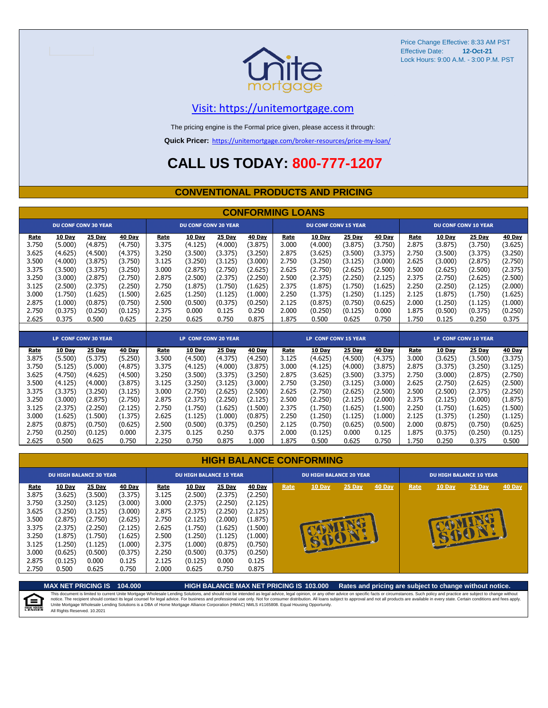

#### [V](https://unitemortgage.com/)isit: https://unitemortgage.com

The pricing engine is the Formal price given, please access it through:

**Quick Pricer:** [https://un](https://unitemortgage.com/broker-resources/price-my-loan/)itemortgage.com/broker-resources/price-my-loan/

## **CALL US TODAY: 800-777-1207**

#### **CONVENTIONAL PRODUCTS AND PRICING**

|       | <b>CONFORMING LOANS</b> |                             |         |                      |                             |         |               |                             |                             |               |         |                      |               |                             |               |
|-------|-------------------------|-----------------------------|---------|----------------------|-----------------------------|---------|---------------|-----------------------------|-----------------------------|---------------|---------|----------------------|---------------|-----------------------------|---------------|
|       |                         | <b>DU CONF CONV 30 YEAR</b> |         |                      | <b>DU CONF CONV 20 YEAR</b> |         |               |                             | <b>DU CONF CONV 15 YEAR</b> |               |         |                      |               | <b>DU CONF CONV 10 YEAR</b> |               |
| Rate  | 10 Day                  | 25 Day                      | 40 Day  | Rate                 | 10 Day                      | 25 Day  | 40 Day        | Rate                        | 10 Day                      | 25 Day        | 40 Day  | Rate                 | 10 Day        | 25 Day                      | 40 Day        |
| 3.750 | (5.000)                 | (4.875)                     | (4.750) | 3.375                | (4.125)                     | (4.000) | (3.875)       | 3.000                       | (4.000)                     | (3.875)       | (3.750) | 2.875                | (3.875)       | (3.750)                     | (3.625)       |
| 3.625 | (4.625)                 | (4.500)                     | (4.375) | 3.250                | (3.500)                     | (3.375) | (3.250)       | 2.875                       | (3.625)                     | (3.500)       | (3.375) | 2.750                | (3.500)       | (3.375)                     | (3.250)       |
| 3.500 | (4.000)                 | (3.875)                     | (3.750) | 3.125                | (3.250)                     | (3.125) | (3.000)       | 2.750                       | (3.250)                     | (3.125)       | (3.000) | 2.625                | (3.000)       | (2.875)                     | (2.750)       |
| 3.375 | (3.500)                 | (3.375)                     | (3.250) | 3.000                | (2.875)                     | (2.750) | (2.625)       | 2.625                       | (2.750)                     | (2.625)       | (2.500) | 2.500                | (2.625)       | (2.500)                     | (2.375)       |
| 3.250 | (3.000)                 | (2.875)                     | (2.750) | 2.875                | (2.500)                     | (2.375) | (2.250)       | 2.500                       | (2.375)                     | (2.250)       | (2.125) | 2.375                | (2.750)       | (2.625)                     | (2.500)       |
| 3.125 | (2.500)                 | (2.375)                     | (2.250) | 2.750                | (1.875)                     | (1.750) | (1.625)       | 2.375                       | (1.875)                     | (1.750)       | (1.625) | 2.250                | (2.250)       | (2.125)                     | (2.000)       |
| 3.000 | (1.750)                 | (1.625)                     | (1.500) | 2.625                | (1.250)                     | (1.125) | (1.000)       | 2.250                       | (1.375)                     | (1.250)       | (1.125) | 2.125                | (1.875)       | (1.750)                     | (1.625)       |
| 2.875 | (1.000)                 | (0.875)                     | (0.750) | 2.500                | (0.500)                     | (0.375) | (0.250)       | 2.125                       | (0.875)                     | (0.750)       | (0.625) | 2.000                | (1.250)       | (1.125)                     | (1.000)       |
| 2.750 | (0.375)                 | (0.250)                     | (0.125) | 2.375                | 0.000                       | 0.125   | 0.250         | 2.000                       | (0.250)                     | (0.125)       | 0.000   | 1.875                | (0.500)       | (0.375)                     | (0.250)       |
| 2.625 | 0.375                   | 0.500                       | 0.625   | 2.250                | 0.625                       | 0.750   | 0.875         | 1.875                       | 0.500                       | 0.625         | 0.750   | 1.750                | 0.125         | 0.250                       | 0.375         |
|       |                         |                             |         |                      |                             |         |               |                             |                             |               |         |                      |               |                             |               |
|       |                         | <b>LP CONF CONV 30 YEAR</b> |         | LP CONF CONV 20 YEAR |                             |         |               | <b>LP CONF CONV 15 YEAR</b> |                             |               |         | LP CONF CONV 10 YEAR |               |                             |               |
| Rate  | 10 Day                  | 25 Day                      | 40 Day  | Rate                 | 10 Day                      | 25 Day  | <b>40 Day</b> | Rate                        | 10 Day                      | <b>25 Day</b> | 40 Day  | Rate                 | <b>10 Day</b> | 25 Day                      | <b>40 Day</b> |
| 3.875 | (5.500)                 | (5.375)                     | (5.250) | 3.500                | (4.500)                     | (4.375) | (4.250)       | 3.125                       | (4.625)                     | (4.500)       | (4.375) | 3.000                | (3.625)       | (3.500)                     | (3.375)       |
| 3.750 | (5.125)                 | (5.000)                     | (4.875) | 3.375                | (4.125)                     | (4.000) | (3.875)       | 3.000                       | (4.125)                     | (4.000)       | (3.875) | 2.875                | (3.375)       | (3.250)                     | (3.125)       |
| 3.625 | (4.750)                 | (4.625)                     | (4.500) | 3.250                | (3.500)                     | (3.375) | (3.250)       | 2.875                       | (3.625)                     | (3.500)       | (3.375) | 2.750                | (3.000)       | (2.875)                     | (2.750)       |
| 3.500 | (4.125)                 | (4.000)                     | (3.875) | 3.125                | (3.250)                     | (3.125) | (3.000)       | 2.750                       | (3.250)                     | (3.125)       | (3.000) | 2.625                | (2.750)       | (2.625)                     | (2.500)       |
| 3.375 | (3.375)                 | (3.250)                     | (3.125) | 3.000                | (2.750)                     | (2.625) | (2.500)       | 2.625                       | (2.750)                     | (2.625)       | (2.500) | 2.500                | (2.500)       | (2.375)                     | (2.250)       |
| 3.250 | (3.000)                 | (2.875)                     | (2.750) | 2.875                | (2.375)                     | (2.250) | (2.125)       | 2.500                       | (2.250)                     | (2.125)       | (2.000) | 2.375                | (2.125)       | (2.000)                     | (1.875)       |
| 3.125 | (2.375)                 | (2.250)                     | (2.125) | 2.750                | (1.750)                     | (1.625) | (1.500)       | 2.375                       | (1.750)                     | (1.625)       | (1.500) | 2.250                | (1.750)       | (1.625)                     | (1.500)       |
| 3.000 | (1.625)                 | (1.500)                     | (1.375) | 2.625                | (1.125)                     | (1.000) | (0.875)       | 2.250                       | (1.250)                     | (1.125)       | (1.000) | 2.125                | (1.375)       | (1.250)                     | (1.125)       |
| 2.875 | (0.875)                 | (0.750)                     | (0.625) | 2.500                | (0.500)                     | (0.375) | (0.250)       | 2.125                       | (0.750)                     | (0.625)       | (0.500) | 2.000                | (0.875)       | (0.750)                     | (0.625)       |

#### **HIGH BALANCE CONFORMING**

2.750 (0.250) (0.125) 0.000 2.375 0.125 0.250 0.375 2.000 (0.125) 0.000 0.125 1.875 (0.375) (0.250) (0.125) 2.625 0.500 0.625 0.750 2.250 0.750 0.875 1.000 1.875 0.500 0.625 0.750 1.750 0.250 0.375 0.500

| <b>DU HIGH BALANCE 30 YEAR</b>                                      |                                                                                     |                                                                                     |                                                                                     | <b>DU HIGH BALANCE 15 YEAR</b>                                      |                                                                                            |                                                                                     |                                                                                     |      | <b>DU HIGH BALANCE 20 YEAR</b> |        |               |      | <b>DU HIGH BALANCE 10 YEAR</b> |          |               |  |  |
|---------------------------------------------------------------------|-------------------------------------------------------------------------------------|-------------------------------------------------------------------------------------|-------------------------------------------------------------------------------------|---------------------------------------------------------------------|--------------------------------------------------------------------------------------------|-------------------------------------------------------------------------------------|-------------------------------------------------------------------------------------|------|--------------------------------|--------|---------------|------|--------------------------------|----------|---------------|--|--|
| Rate<br>3.875<br>3.750<br>3.625<br>3.500<br>3.375<br>3.250<br>3.125 | 10 Day<br>(3.625)<br>(3.250)<br>(3.250)<br>(2.875)<br>(2.375)<br>(1.875)<br>(1.250) | 25 Day<br>(3.500)<br>(3.125)<br>(3.125)<br>(2.750)<br>(2.250)<br>(1.750)<br>(1.125) | 40 Day<br>(3.375)<br>(3.000)<br>(3.000)<br>(2.625)<br>(2.125)<br>(1.625)<br>(1.000) | Rate<br>3.125<br>3.000<br>2.875<br>2.750<br>2.625<br>2.500<br>2.375 | <b>10 Day</b><br>(2.500)<br>(2.375)<br>(2.375)<br>(2.125)<br>(1.750)<br>(1.250)<br>(1.000) | 25 Day<br>(2.375)<br>(2.250)<br>(2.250)<br>(2.000)<br>(1.625)<br>(1.125)<br>(0.875) | 40 Day<br>(2.250)<br>(2.125)<br>(2.125)<br>(1.875)<br>(1.500)<br>(1.000)<br>(0.750) | Rate | <b>10 Day</b>                  | 25 Day | <b>40 Day</b> | Rate | 10 Day                         | $25$ Day | <b>40 Day</b> |  |  |
| 3.000<br>2.875<br>2.750                                             | (0.625)<br>(0.125)<br>0.500                                                         | (0.500)<br>0.000<br>0.625                                                           | (0.375)<br>0.125<br>0.750                                                           | 2.250<br>2.125<br>2.000                                             | (0.500)<br>(0.125)<br>0.625                                                                | (0.375)<br>0.000<br>0.750                                                           | (0.250)<br>0.125<br>0.875                                                           |      |                                |        |               |      |                                |          |               |  |  |

**MAX NET PRICING IS 104.000 HIGH BALANCE MAX NET PRICING IS 103.000 Rates and pricing are subject to change without notice.** This document is limited to current Unite Mortgage Wholesale Lending Solutions, and should not be intended as legal advice, legal opinion, or any other advice on specific facts or circumstances. Such policy and practice ar 自 All Rights Reserved. 10.2021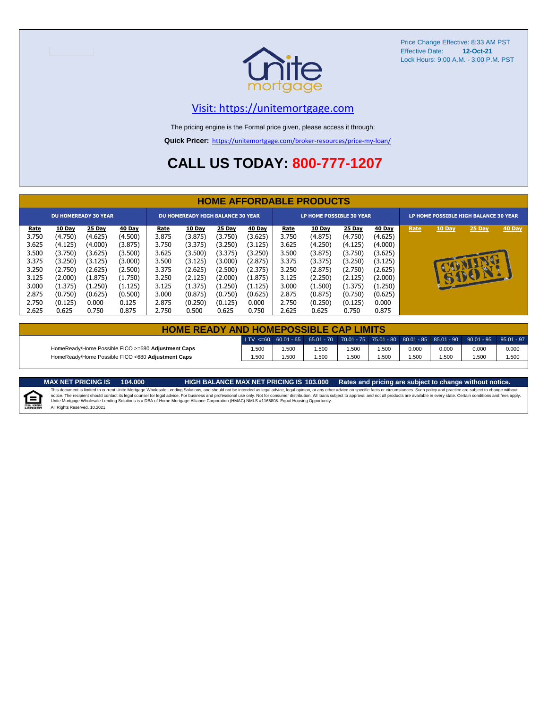

#### [V](https://unitemortgage.com/)isit: https://unitemortgage.com

The pricing engine is the Formal price given, please access it through:

**Quick Pricer:** [https://un](https://unitemortgage.com/broker-resources/price-my-loan/)itemortgage.com/broker-resources/price-my-loan/

## **CALL US TODAY: 800-777-1207**

|                             | <b>HOME AFFORDABLE PRODUCTS</b> |         |         |             |                                          |         |         |                                 |         |         |         |                                       |              |          |        |
|-----------------------------|---------------------------------|---------|---------|-------------|------------------------------------------|---------|---------|---------------------------------|---------|---------|---------|---------------------------------------|--------------|----------|--------|
| <b>DU HOMEREADY 30 YEAR</b> |                                 |         |         |             | <b>DU HOMEREADY HIGH BALANCE 30 YEAR</b> |         |         | <b>LP HOME POSSIBLE 30 YEAR</b> |         |         |         | LP HOME POSSIBLE HIGH BALANCE 30 YEAR |              |          |        |
| <u>Rate</u>                 | 10 Day                          | 25 Day  | 40 Day  | <b>Rate</b> | 10 Day                                   | 25 Day  | 40 Day  | <u>Rate</u>                     | 10 Day  | 25 Day  | 40 Day  | Rate                                  | 10 Day       | 25 Day   | 40 Day |
| 3.750                       | (4.750)                         | (4.625) | (4.500) | 3.875       | (3.875)                                  | (3.750) | (3.625) | 3.750                           | (4.875) | (4.750) | (4.625) |                                       |              |          |        |
| 3.625                       | (4.125)                         | (4.000) | (3.875) | 3.750       | (3.375)                                  | (3.250) | (3.125) | 3.625                           | (4.250) | (4.125) | (4.000) |                                       |              |          |        |
| 3.500                       | (3.750)                         | (3.625) | (3.500) | 3.625       | (3.500)                                  | (3.375) | (3.250) | 3.500                           | (3.875) | (3.750) | (3.625) |                                       |              |          |        |
| 3.375                       | (3.250)                         | (3.125) | (3.000) | 3.500       | (3.125)                                  | (3.000) | (2.875) | 3.375                           | (3.375) | (3.250) | (3.125) |                                       |              | <b>D</b> |        |
| 3.250                       | (2.750)                         | (2.625) | (2.500) | 3.375       | (2.625)                                  | (2.500) | (2.375) | 3.250                           | (2.875) | (2.750) | (2.625) |                                       |              |          |        |
| 3.125                       | (2.000)                         | (1.875) | (1.750) | 3.250       | (2.125)                                  | (2.000) | (1.875) | 3.125                           | (2.250) | (2.125) | (2.000) |                                       | $\mathbf{u}$ | SSSSIL   |        |
| 3.000                       | (1.375)                         | (1.250) | (1.125) | 3.125       | (1.375)                                  | (1.250) | (1.125) | 3.000                           | (1.500) | (1.375) | (1.250) |                                       |              |          |        |
| 2.875                       | (0.750)                         | (0.625) | (0.500) | 3.000       | (0.875)                                  | (0.750) | (0.625) | 2.875                           | (0.875) | (0.750) | (0.625) |                                       |              |          |        |
| 2.750                       | (0.125)                         | 0.000   | 0.125   | 2.875       | (0.250)                                  | (0.125) | 0.000   | 2.750                           | (0.250) | (0.125) | 0.000   |                                       |              |          |        |
| 2.625                       | 0.625                           | 0.750   | 0.875   | 2.750       | 0.500                                    | 0.625   | 0.750   | 2.625                           | 0.625   | 0.750   | 0.875   |                                       |              |          |        |

| <b>HOME READY AND HOMEPOSSIBLE CAP LIMITS</b>      |      |       |      |      |      |       |       |                                                                                                                                                                 |       |  |  |
|----------------------------------------------------|------|-------|------|------|------|-------|-------|-----------------------------------------------------------------------------------------------------------------------------------------------------------------|-------|--|--|
|                                                    |      |       |      |      |      |       |       | $\mid$ LTV <=60 $\mid$ 60.01 - 65 $\mid$ 65.01 - 70 $\mid$ 70.01 - 75 $\mid$ 75.01 - 80 $\mid$ 80.01 - 85 $\mid$ 85.01 - 90 $\mid$ 90.01 - 95 $\mid$ 95.01 - 97 |       |  |  |
| HomeReady/Home Possible FICO >=680 Adjustment Caps | .500 | 1.500 | .500 | .500 | .500 | 0.000 | 0.000 | 0.000                                                                                                                                                           | 0.000 |  |  |
| HomeReady/Home Possible FICO <680 Adiustment Caps  | .500 | .500  | .500 | .500 | .500 | .500  | .500  | .500                                                                                                                                                            | 1.500 |  |  |

MAX NET PRICING IS 103.000 Rates and pricing are subject to change without notice.<br>This document is limited to current Unite Mortgage Wholesale Lending Solutions, and should not be intended as legal advice, legal opinion,



All Rights Reserved. 10.2021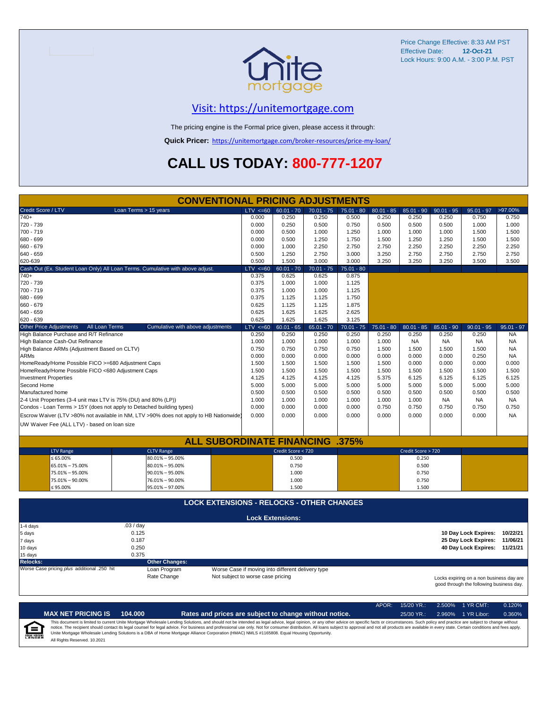

#### [V](https://unitemortgage.com/)isit: https://unitemortgage.com

The pricing engine is the Formal price given, please access it through:

**Quick Pricer:** [https://un](https://unitemortgage.com/broker-resources/price-my-loan/)itemortgage.com/broker-resources/price-my-loan/

## **CALL US TODAY: 800-777-1207**

|                                                                                | <b>CONVENTIONAL PRICING ADJUSTMENTS</b>                                                |              |                                                   |              |              |              |                    |              |                                                                                      |              |
|--------------------------------------------------------------------------------|----------------------------------------------------------------------------------------|--------------|---------------------------------------------------|--------------|--------------|--------------|--------------------|--------------|--------------------------------------------------------------------------------------|--------------|
| Credit Score / LTV                                                             | Loan Terms > 15 years                                                                  | $LTV \le 60$ | $60.01 - 70$                                      | $70.01 - 75$ | $75.01 - 80$ | $80.01 - 85$ | $85.01 - 90$       | $90.01 - 95$ | $95.01 - 97$                                                                         | >97.00%      |
| $740+$                                                                         |                                                                                        | 0.000        | 0.250                                             | 0.250        | 0.500        | 0.250        | 0.250              | 0.250        | 0.750                                                                                | 0.750        |
| 720 - 739                                                                      |                                                                                        | 0.000        | 0.250                                             | 0.500        | 0.750        | 0.500        | 0.500              | 0.500        | 1.000                                                                                | 1.000        |
| 700 - 719                                                                      |                                                                                        | 0.000        | 0.500                                             | 1.000        | 1.250        | 1.000        | 1.000              | 1.000        | 1.500                                                                                | 1.500        |
| 680 - 699                                                                      |                                                                                        | 0.000        | 0.500                                             | 1.250        | 1.750        | 1.500        | 1.250              | 1.250        | 1.500                                                                                | 1.500        |
| 660 - 679                                                                      |                                                                                        | 0.000        | 1.000                                             | 2.250        | 2.750        | 2.750        | 2.250              | 2.250        | 2.250                                                                                | 2.250        |
| 640 - 659                                                                      |                                                                                        | 0.500        | 1.250                                             | 2.750        | 3.000        | 3.250        | 2.750              | 2.750        | 2.750                                                                                | 2.750        |
| 620-639                                                                        |                                                                                        | 0.500        | 1.500                                             | 3.000        | 3.000        | 3.250        | 3.250              | 3.250        | 3.500                                                                                | 3.500        |
| Cash Out (Ex. Student Loan Only) All Loan Terms. Cumulative with above adjust. |                                                                                        | $LTV < =60$  | $60.01 - 70$                                      | $70.01 - 75$ | $75.01 - 80$ |              |                    |              |                                                                                      |              |
| $740+$                                                                         |                                                                                        | 0.375        | 0.625                                             | 0.625        | 0.875        |              |                    |              |                                                                                      |              |
| 720 - 739                                                                      |                                                                                        | 0.375        | 1.000                                             | 1.000        | 1.125        |              |                    |              |                                                                                      |              |
| 700 - 719                                                                      |                                                                                        | 0.375        | 1.000                                             | 1.000        | 1.125        |              |                    |              |                                                                                      |              |
| 680 - 699                                                                      |                                                                                        | 0.375        | 1.125                                             | 1.125        | 1.750        |              |                    |              |                                                                                      |              |
| 660 - 679                                                                      |                                                                                        | 0.625        | 1.125                                             | 1.125        | 1.875        |              |                    |              |                                                                                      |              |
| 640 - 659                                                                      |                                                                                        | 0.625        | 1.625                                             | 1.625        | 2.625        |              |                    |              |                                                                                      |              |
| 620 - 639                                                                      |                                                                                        | 0.625        | 1.625                                             | 1.625        | 3.125        |              |                    |              |                                                                                      |              |
| <b>Other Price Adjustments</b><br>All Loan Terms                               | Cumulative with above adjustments                                                      | $LTV < =60$  | $60.01 - 65$                                      | $65.01 - 70$ | $70.01 - 75$ | $75.01 - 80$ | $80.01 - 85$       | $85.01 - 90$ | $90.01 - 95$                                                                         | $95.01 - 97$ |
| High Balance Purchase and R/T Refinance                                        |                                                                                        | 0.250        | 0.250                                             | 0.250        | 0.250        | 0.250        | 0.250              | 0.250        | 0.250                                                                                | <b>NA</b>    |
| High Balance Cash-Out Refinance                                                |                                                                                        | 1.000        | 1.000                                             | 1.000        | 1.000        | 1.000        | <b>NA</b>          | <b>NA</b>    | <b>NA</b>                                                                            | <b>NA</b>    |
| High Balance ARMs (Adjustment Based on CLTV)                                   |                                                                                        | 0.750        | 0.750                                             | 0.750        | 0.750        | 1.500        | 1.500              | 1.500        | 1.500                                                                                | <b>NA</b>    |
| <b>ARMs</b>                                                                    |                                                                                        | 0.000        | 0.000                                             | 0.000        | 0.000        | 0.000        | 0.000              | 0.000        | 0.250                                                                                | <b>NA</b>    |
| HomeReady/Home Possible FICO >=680 Adjustment Caps                             |                                                                                        | 1.500        | 1.500                                             | 1.500        | 1.500        | 1.500        | 0.000              | 0.000        | 0.000                                                                                | 0.000        |
| HomeReady/Home Possible FICO <680 Adjustment Caps                              |                                                                                        | 1.500        | 1.500                                             | 1.500        | 1.500        | 1.500        | 1.500              | 1.500        | 1.500                                                                                | 1.500        |
| <b>Investment Properties</b>                                                   |                                                                                        | 4.125        | 4.125                                             | 4.125        | 4.125        | 5.375        | 6.125              | 6.125        | 6.125                                                                                | 6.125        |
| Second Home                                                                    |                                                                                        | 5.000        | 5.000                                             | 5.000        | 5.000        | 5.000        | 5.000              | 5.000        | 5.000                                                                                | 5.000        |
| Manufactured home                                                              |                                                                                        | 0.500        | 0.500                                             | 0.500        | 0.500        | 0.500        | 0.500              | 0.500        | 0.500                                                                                | 0.500        |
| 2-4 Unit Properties (3-4 unit max LTV is 75% (DU) and 80% (LP))                |                                                                                        | 1.000        | 1.000                                             | 1.000        | 1.000        | 1.000        | 1.000              | <b>NA</b>    | <b>NA</b>                                                                            | NA.          |
| Condos - Loan Terms > 15Y (does not apply to Detached building types)          |                                                                                        | 0.000        | 0.000                                             | 0.000        | 0.000        | 0.750        | 0.750              | 0.750        | 0.750                                                                                | 0.750        |
|                                                                                | Escrow Waiver (LTV >80% not available in NM, LTV >90% does not apply to HB Nationwide) | 0.000        | 0.000                                             | 0.000        | 0.000        | 0.000        | 0.000              | 0.000        | 0.000                                                                                | <b>NA</b>    |
| UW Waiver Fee (ALL LTV) - based on loan size                                   |                                                                                        |              |                                                   |              |              |              |                    |              |                                                                                      |              |
|                                                                                |                                                                                        |              |                                                   |              |              |              |                    |              |                                                                                      |              |
|                                                                                | <b>ALL SUBORDINATE FINANCING</b>                                                       |              |                                                   |              | .375%        |              |                    |              |                                                                                      |              |
| <b>LTV Range</b>                                                               | <b>CLTV Range</b>                                                                      |              | Credit Score < 720                                |              |              |              | Credit Score > 720 |              |                                                                                      |              |
| $\leq 65.00\%$                                                                 | $80.01\% - 95.00\%$                                                                    |              | 0.500                                             |              |              |              | 0.250              |              |                                                                                      |              |
| 65.01% - 75.00%                                                                | 80.01% - 95.00%                                                                        |              | 0.750                                             |              |              |              | 0.500              |              |                                                                                      |              |
| 75.01% - 95.00%                                                                | $90.01\% - 95.00\%$                                                                    |              | 1.000                                             |              |              |              | 0.750              |              |                                                                                      |              |
| 75.01% - 90.00%                                                                | 76.01% - 90.00%                                                                        |              | 1.000                                             |              |              |              | 0.750              |              |                                                                                      |              |
| $≤ 95.00\%$                                                                    | 95.01% - 97.00%                                                                        |              | 1.500                                             |              |              |              | 1.500              |              |                                                                                      |              |
|                                                                                |                                                                                        |              |                                                   |              |              |              |                    |              |                                                                                      |              |
|                                                                                | <b>LOCK EXTENSIONS - RELOCKS - OTHER CHANGES</b>                                       |              |                                                   |              |              |              |                    |              |                                                                                      |              |
|                                                                                |                                                                                        |              | <b>Lock Extensions:</b>                           |              |              |              |                    |              |                                                                                      |              |
| 1-4 days                                                                       | .03 / day                                                                              |              |                                                   |              |              |              |                    |              |                                                                                      |              |
| 5 days                                                                         | 0.125                                                                                  |              |                                                   |              |              |              |                    |              | 10 Day Lock Expires:                                                                 | 10/22/21     |
| 7 days                                                                         | 0.187                                                                                  |              |                                                   |              |              |              |                    |              | 25 Day Lock Expires:                                                                 | 11/06/21     |
| 10 days                                                                        | 0.250                                                                                  |              |                                                   |              |              |              |                    |              | 40 Day Lock Expires: 11/21/21                                                        |              |
| 15 days                                                                        | 0.375                                                                                  |              |                                                   |              |              |              |                    |              |                                                                                      |              |
| <b>Relocks:</b>                                                                | <b>Other Changes:</b>                                                                  |              |                                                   |              |              |              |                    |              |                                                                                      |              |
| Worse Case pricing plus additional .250 hit                                    | Loan Program                                                                           |              | Worse Case if moving into different delivery type |              |              |              |                    |              |                                                                                      |              |
|                                                                                | Rate Change<br>Not subject to worse case pricing                                       |              |                                                   |              |              |              |                    |              | Locks expiring on a non business day are<br>good through the following business day. |              |